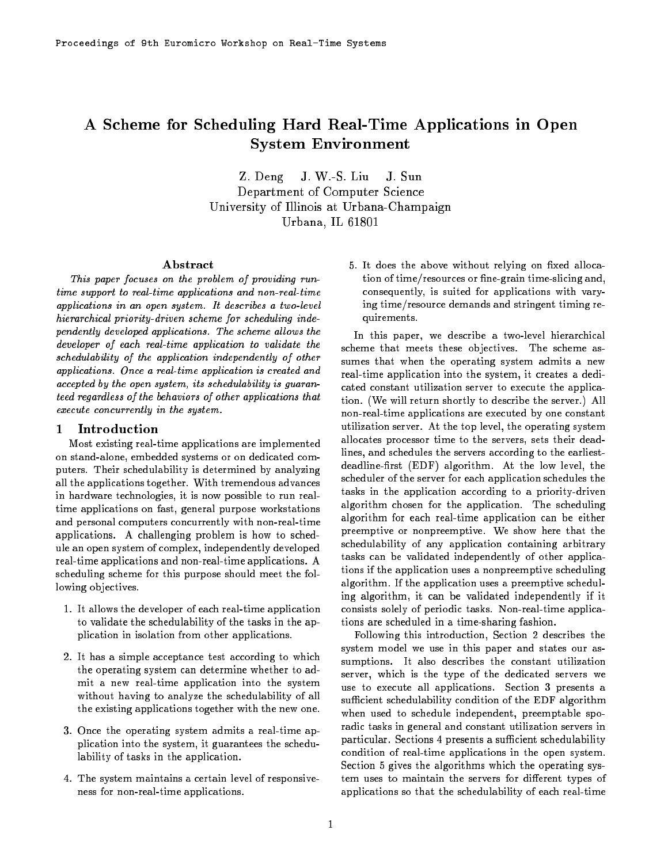# A Scheme for Scheduling Hard Real-Time Applications in Open System Environment

Z. Deng J. W.-S. Liu J. Sun Department of Computer Science University of Indians at Urbana-Champaign  $U = 1$ 

# Abstract

This paper focuses on the problem of providing runtime support to real-time applications and non-real-time applications in an open system. It describes a two-level hierarchical priority-driven scheme for scheduling independently developed applications. The scheme allows the developer of each real-time application to validate the schedulability of the application independently of other applications. Once a real-time application is created and accepted by the open system, its schedulability is guaranteed regardless of the behaviors of other applications that execute concurrently in the system.

#### 1 **Introduction**

Most existing real-time applications are implemented on stand-alone, embedded systems or on dedicated computers. Their schedulability is determined by analyzing all the applications together. With tremendous advances in hardware technologies, it is now possible to run realtime applications on fast, general purpose workstations and personal computers concurrently with non-real-time applications. A challenging problem is how to schedule an open system of complex, independently developed real-time applications and non-real-time applications. A scheduling scheme for this purpose should meet the following objectives.

- 1. It allows the developer of each real-time application to validate the schedulability of the tasks in the application in isolation from other applications.
- 2. It has a simple acceptance test according to which the operating system can determine whether to admit a new real-time application into the system without having to analyze the schedulability of all the existing applications together with the new one.
- 3. Once the operating system admits a real-time application into the system, it guarantees the schedulability of tasks in the application.
- 4. The system maintains a certain level of responsiveness for non-real-time applications.

5. It does the above without relying on fixed allocation of time/resources or fine-grain time-slicing and, consequently, is suited for applications with varying time/resource demands and stringent timing requirements.

In this paper, we describe a two-level hierarchical scheme that meets these objectives. The scheme assumes that when the operating system admits a new real-time application into the system, it creates a dedicated constant utilization server to execute the application. (We will return shortly to describe the server.) All non-real-time applications are executed by one constant utilization server. At the top level, the operating system allocates processor time to the servers, sets their deadlines, and schedules the servers according to the earliestdeadline-first (EDF) algorithm. At the low level, the scheduler of the server for each application schedules the tasks in the application according to a priority-driven algorithm chosen for the application. The scheduling algorithm for each real-time application can be either preemptive or nonpreemptive. We show here that the schedulability of any application containing arbitrary tasks can be validated independently of other applications if the application uses a nonpreemptive scheduling algorithm. If the application uses a preemptive scheduling algorithm, it can be validated independently if it consists solely of periodic tasks. Non-real-time applications are scheduled in a time-sharing fashion.

Following this introduction, Section 2 describes the system model we use in this paper and states our assumptions. It also describes the constant utilization server, which is the type of the dedicated servers we use to execute all applications. Section 3 presents a sufficient schedulability condition of the EDF algorithm when used to schedule independent, preemptable sporadic tasks in general and constant utilization servers in particular. Sections 4 presents a sufficient schedulability condition of real-time applications in the open system. Section 5 gives the algorithms which the operating system uses to maintain the servers for different types of applications so that the schedulability of each real-time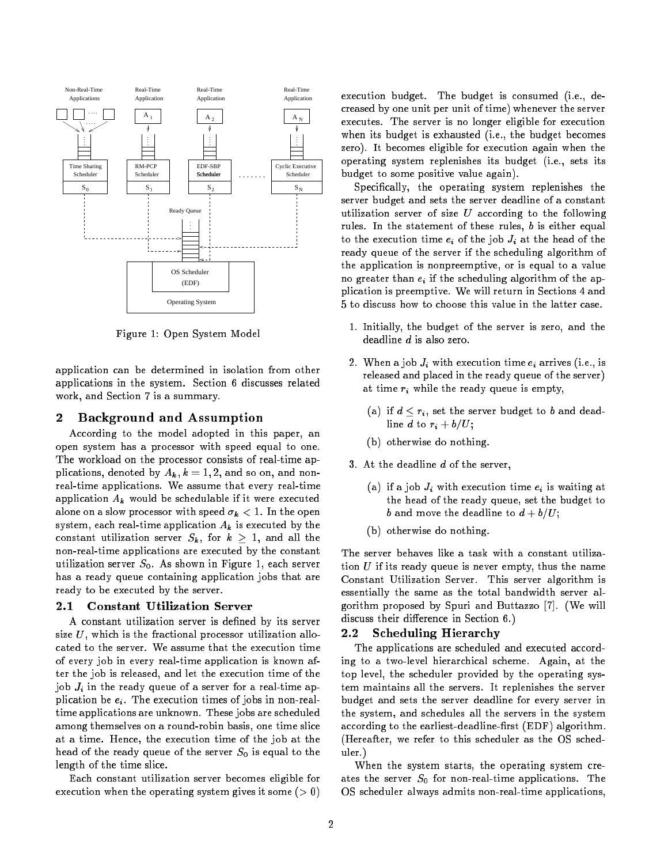

Figure 1: Open System Model

application can be determined in isolation from other applications in the system. Section 6 discusses related work, and Section 7 is a summary.

### 2 Background and Assumption

According to the model adopted in this paper, an open system has a processor with speed equal to one. The workload on the processor consists of real-time applications, denoted by  $A_k$ ,  $k = 1, 2$ , and so on, and nonreal-time applications. We assume that every real-time application  $A_k$  would be schedulable if it were executed alone on a slow processor with speed  $\sigma_k < 1$ . In the open system, each real-time application  $A_k$  is executed by the constant utilization server  $S_k$ , for  $k \geq 1$ , and all the non-real-time applications are executed by the constant utilization server  $S_0$ . As shown in Figure 1, each server has a ready queue containing application jobs that are ready to be executed by the server.

#### $2.1$ Constant Utilization Server

A constant utilization server is defined by its server size  $U$ , which is the fractional processor utilization allocated to the server. We assume that the execution time of every job in every real-time application is known after the job is released, and let the execution time of the job  $J_i$  in the ready queue of a server for a real-time application be  $e_i$ . The execution times of jobs in non-realtime applications are unknown. These jobs are scheduled among themselves on a round-robin basis, one time slice at a time. Hence, the execution time of the job at the head of the ready queue of the server  $S_0$  is equal to the length of the time slice.

Each constant utilization server becomes eligible for execution when the operating system gives it some  $(> 0)$  execution budget. The budget is consumed (i.e., decreased by one unit per unit of time) whenever the server executes. The server is no longer eligible for execution when its budget is exhausted (i.e., the budget becomes zero). It becomes eligible for execution again when the operating system replenishes its budget (i.e., sets its budget to some positive value again).

Specically, the operating system replenishes the server budget and sets the server deadline of a constant utilization server of size  $U$  according to the following rules. In the statement of these rules,  $b$  is either equal to the execution time  $e_i$  of the job  $J_i$  at the head of the ready queue of the server if the scheduling algorithm of the application is nonpreemptive, or is equal to a value no greater than  $e_i$  if the scheduling algorithm of the application is preemptive. We will return in Sections 4 and 5 to discuss how to choose this value in the latter case.

- 1. Initially, the budget of the server is zero, and the deadline d is also zero.
- 2. When a job  $J_i$  with execution time  $e_i$  arrives (i.e., is released and placed in the ready queue of the server) at time  $r_i$  while the ready queue is empty,
	- (a) if  $d \leq r_i$ , set the server budget to b and deadline d to  $r_i + b/U$ ;
	- (b) otherwise do nothing.
- 3. At the deadline  $d$  of the server,
	- (a) if a job  $J_i$  with execution time  $e_i$  is waiting at the head of the ready queue, set the budget to b and move the deadline to  $d + b/U$ ;
	- (b) otherwise do nothing.

The server behaves like a task with a constant utilization  $U$  if its ready queue is never empty, thus the name Constant Utilization Server. This server algorithm is essentially the same as the total bandwidth server algorithm proposed by Spuri and Buttazzo [7]. (We will discuss their difference in Section 6.)

#### **Scheduling Hierarchy**  $2.2$

The applications are scheduled and executed according to a two-level hierarchical scheme. Again, at the top level, the scheduler provided by the operating system maintains all the servers. It replenishes the server budget and sets the server deadline for every server in the system, and schedules all the servers in the system according to the earliest-deadline-first (EDF) algorithm. (Hereafter, we refer to this scheduler as the OS scheduler.)

When the system starts, the operating system creates the server  $S_0$  for non-real-time applications. The OS scheduler always admits non-real-time applications,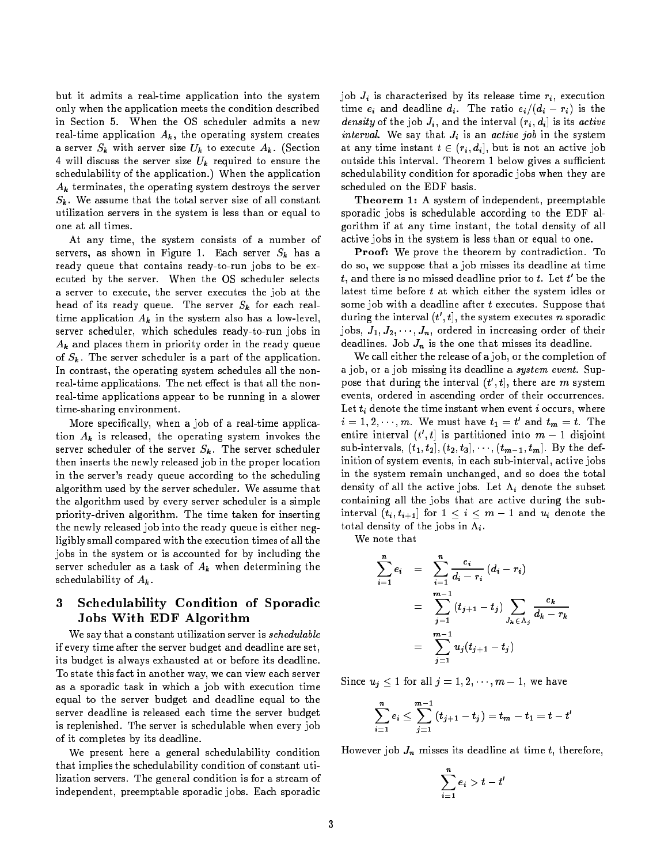but it admits a real-time application into the system only when the application meets the condition described in Section 5. When the OS scheduler admits a new real-time application  $A_k$ , the operating system creates a server  $S_k$  with server size  $U_k$  to execute  $A_k$ . (Section 4 will discuss the server size  $U_k$  required to ensure the schedulability of the application.) When the application  $A_k$  terminates, the operating system destroys the server  $S_k$ . We assume that the total server size of all constant utilization servers in the system is less than or equal to one at all times.

At any time, the system consists of a number of servers, as shown in Figure 1. Each server  $S_k$  has a ready queue that contains ready-to-run jobs to be executed by the server. When the OS scheduler selects a server to execute, the server executes the job at the head of its ready queue. The server  $S_k$  for each realtime application  $A_k$  in the system also has a low-level, server scheduler, which schedules ready-to-run jobs in  $A_k$  and places them in priority order in the ready queue of  $S_k$ . The server scheduler is a part of the application. In contrast, the operating system schedules all the nonreal-time applications. The net effect is that all the nonreal-time applications appear to be running in a slower time-sharing environment.

More specically, when a job of a real-time application  $A_k$  is released, the operating system invokes the server scheduler of the server  $S_k$ . The server scheduler then inserts the newly released job in the proper location in the server's ready queue according to the scheduling algorithm used by the server scheduler. We assume that the algorithm used by every server scheduler is a simple priority-driven algorithm. The time taken for inserting the newly released job into the ready queue is either negligibly small compared with the execution times of all the jobs in the system or is accounted for by including the server scheduler as a task of  $A_k$  when determining the schedulability of  $A_k$ .

# 3 Schedulability Condition of Sporadic Jobs With EDF Algorithm

We say that a constant utilization server is *schedulable* if every time after the server budget and deadline are set, its budget is always exhausted at or before its deadline. To state this fact in another way, we can view each server as a sporadic task in which a job with execution time equal to the server budget and deadline equal to the server deadline is released each time the server budget is replenished. The server is schedulable when every job of it completes by its deadline.

We present here a general schedulability condition that implies the schedulability condition of constant utilization servers. The general condition is for a stream of independent, preemptable sporadic jobs. Each sporadic

job  $J_i$  is characterized by its release time  $r_i$ , execution time  $e_i$  and deadline  $d_i$ . The ratio  $e_i/(d_i - r_i)$  is the density of the job  $J_i$ , and the interval  $(r_i, d_i]$  is its active interval. We say that  $J_i$  is an active job in the system at any time instant  $t \in (r_i, d_i]$ , but is not an active job outside this interval. Theorem 1 below gives a sufficient schedulability condition for sporadic jobs when they are scheduled on the EDF basis.

Theorem 1: A system of independent, preemptable sporadic jobs is schedulable according to the EDF algorithm if at any time instant, the total density of all active jobs in the system is less than or equal to one.

Proof: We prove the theorem by contradiction. To do so, we suppose that a job misses its deadline at time  $t.$  and there is no missed deadline prior to  $t.$  Let  $t^\prime$  be the latest time before t at which either the system idles or some job with a deadline after  $t$  executes. Suppose that during the interval  $(t',t]$ , the system executes  $n$  sporadic jobs,  $J_1, J_2, \cdots, J_n,$  ordered in increasing order of their deadlines. Job  $J_n$  is the one that misses its deadline.

We call either the release of a job, or the completion of a job, or a job missing its deadline a system event. Suppose that during the interval  $(t', t]$ , there are m system events, ordered in ascending order of their occurrences. Let  $t_i$  denote the time instant when event  $i$  occurs, where  $i=1,2,\cdots,m.$  We must have  $t_1=t'$  and  $t_m=t.$  The entire interval  $(t',t]$  is partitioned into  $m-1$  disjoint sub-intervals,  $(t_1, t_2], (t_2, t_3], \cdots, (t_{m-1}, t_m]$ . By the definition of system events, in each sub-interval, active jobs in the system remain unchanged, and so does the total density of all the active jobs. Let  $\Lambda_i$  denote the subset containing all the jobs that are active during the subinterval  $(t_i, t_{i+1}]$  for  $1 \leq i \leq m-1$  and  $u_i$  denote the total density of the jobs in  $\Lambda_i$ .

We note that

$$
\sum_{i=1}^{n} e_i = \sum_{i=1}^{n} \frac{e_i}{d_i - r_i} (d_i - r_i)
$$
  
= 
$$
\sum_{j=1}^{m-1} (t_{j+1} - t_j) \sum_{J_k \in \Lambda_j} \frac{e_k}{d_k - r_k}
$$
  
= 
$$
\sum_{j=1}^{m-1} u_j (t_{j+1} - t_j)
$$

Since  $u_j \leq 1$  for all  $j = 1, 2, \dots, m - 1$ , we have

$$
\sum_{i=1}^{n} e_i \leq \sum_{j=1}^{m-1} (t_{j+1}-t_j) = t_m - t_1 = t - t'
$$

However job  $J_n$  misses its deadline at time t, therefore,

$$
\sum_{i=1}^n e_i > t-t'
$$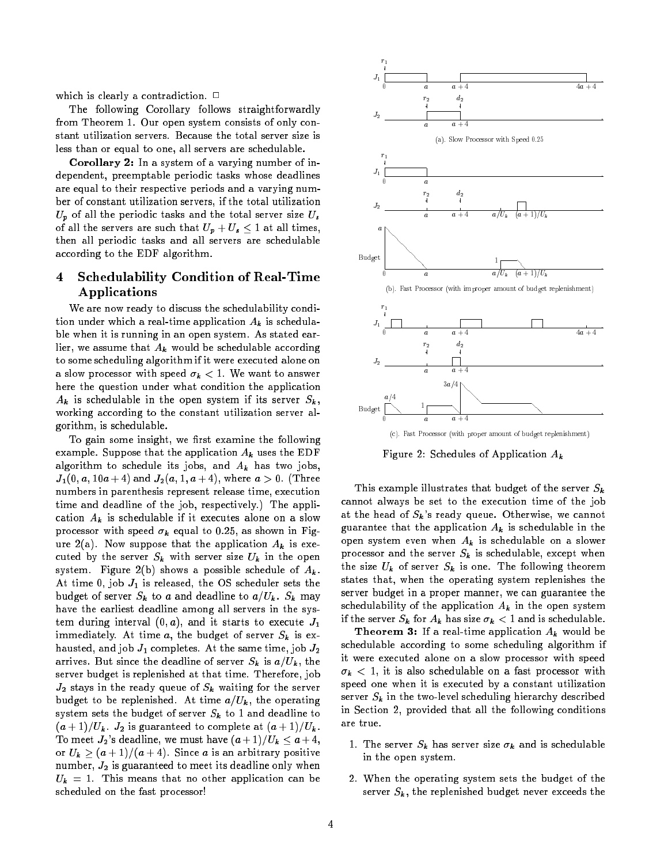which is clearly a contradiction.  $\Box$ 

The following Corollary follows straightforwardly from Theorem 1. Our open system consists of only constant utilization servers. Because the total server size is less than or equal to one, all servers are schedulable.

Corollary 2: In a system of a varying number of independent, preemptable periodic tasks whose deadlines are equal to their respective periods and a varying number of constant utilization servers, if the total utilization  $U_p$  of all the periodic tasks and the total server size  $U_s$ of all the servers are such that  $U_p + U_s \leq 1$  at all times, then all periodic tasks and all servers are schedulable according to the EDF algorithm.

#### $\overline{\mathbf{4}}$ **Schedulability Condition of Real-Time** Applications

We are now ready to discuss the schedulability condition under which a real-time application  $A_k$  is schedulable when it is running in an open system. As stated earlier, we assume that  $A_k$  would be schedulable according to some scheduling algorithm if it were executed alone on a slow processor with speed  $\sigma_k < 1$ . We want to answer here the question under what condition the application  $A_k$  is schedulable in the open system if its server  $S_k$ , working according to the constant utilization server algorithm, is schedulable.

To gain some insight, we first examine the following example. Suppose that the application  $A_k$  uses the EDF algorithm to schedule its jobs, and  $A_k$  has two jobs,  $J_1(0, a, 10a + 4)$  and  $J_2(a, 1, a + 4)$ , where  $a > 0$ . (Three numbers in parenthesis represent release time, execution time and deadline of the job, respectively.) The application  $A_k$  is schedulable if it executes alone on a slow processor with speed  $\sigma_k$  equal to 0.25, as shown in Figure 2(a). Now suppose that the application  $A_k$  is executed by the server  $S_k$  with server size  $U_k$  in the open system. Figure 2(b) shows a possible schedule of  $A_k$ . At time 0, job  $J_1$  is released, the OS scheduler sets the budget of server  $S_k$  to a and deadline to  $a/U_k$ .  $S_k$  may have the earliest deadline among all servers in the system during interval  $(0, a)$ , and it starts to execute  $J_1$ immediately. At time  $a$ , the budget of server  $S_k$  is exhausted, and job  $J_1$  completes. At the same time, job  $J_2$ arrives. But since the deadline of server  $S_k$  is  $a/U_k$ , the server budget is replenished at that time. Therefore, job  $J_2$  stays in the ready queue of  $S_k$  waiting for the server budget to be replenished. At time  $a/U_k$ , the operating system sets the budget of server  $S_k$  to 1 and deadline to  $(a + 1)/U_k$ .  $J_2$  is guaranteed to complete at  $(a + 1)/U_k$ . To meet  $J_2$ 's deadline, we must have  $(a+1)/U_k \le a+4$ , or  $U_k \geq (a + 1)/(a + 4)$ . Since a is an arbitrary positive number,  $J_2$  is guaranteed to meet its deadline only when  $U_k = 1$ . This means that no other application can be scheduled on the fast processor!



Figure 2: Schedules of Application  $A_k$ 

This example illustrates that budget of the server  $S_k$ cannot always be set to the execution time of the job at the head of  $S_k$ 's ready queue. Otherwise, we cannot guarantee that the application  $A_k$  is schedulable in the open system even when  $A_k$  is schedulable on a slower processor and the server  $S_k$  is schedulable, except when the size  $U_k$  of server  $S_k$  is one. The following theorem states that, when the operating system replenishes the server budget in a proper manner, we can guarantee the schedulability of the application  $A_k$  in the open system if the server  $S_k$  for  $A_k$  has size  $\sigma_k < 1$  and is schedulable.

**Theorem 3:** If a real-time application  $A_k$  would be schedulable according to some scheduling algorithm if it were executed alone on a slow processor with speed  $\sigma_k$  < 1, it is also schedulable on a fast processor with speed one when it is executed by a constant utilization server  $S_k$  in the two-level scheduling hierarchy described in Section 2, provided that all the following conditions are true.

- 1. The server  $S_k$  has server size  $\sigma_k$  and is schedulable in the open system.
- 2. When the operating system sets the budget of the server  $S_k$ , the replenished budget never exceeds the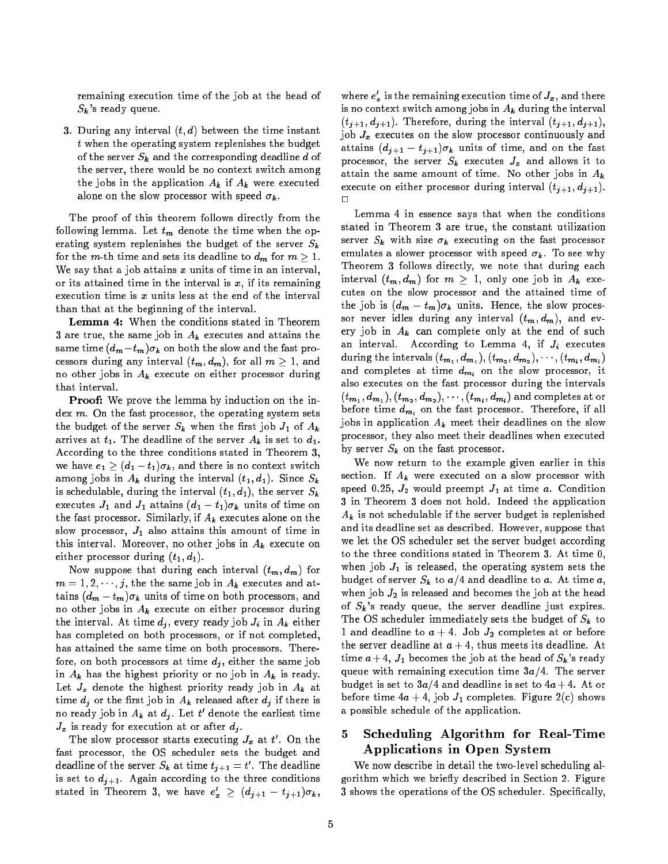remaining execution time of the job at the head of  $S_k$ 's ready queue.

3. During any interval  $(t,d)$  between the time instant  $t$  when the operating system replenishes the budget of the server  $S_k$  and the corresponding deadline d of the server, there would be no context switch among the jobs in the application  $A_k$  if  $A_k$  were executed alone on the slow processor with speed  $\sigma_k$ .

The proof of this theorem follows directly from the following lemma. Let  $t_m$  denote the time when the operating system replenishes the budget of the server  $S_k$ for the m-th time and sets its deadline to  $d_m$  for  $m \geq 1$ . We say that a job attains  $x$  units of time in an interval, or its attained time in the interval is  $x$ , if its remaining execution time is  $x$  units less at the end of the interval than that at the beginning of the interval.

Lemma 4: When the conditions stated in Theorem 3 are true, the same job in  $A_k$  executes and attains the same time  $(d_m-t_m)\sigma_k$  on both the slow and the fast processors during any interval  $(t_m, d_m)$ , for all  $m \geq 1$ , and no other jobs in  $A_k$  execute on either processor during that interval.

Proof: We prove the lemma by induction on the index  $m$ . On the fast processor, the operating system sets the budget of the server  $S_k$  when the first job  $J_1$  of  $A_k$ arrives at  $t_1$ . The deadline of the server  $A_k$  is set to  $d_1$ . According to the three conditions stated in Theorem 3, we have  $e_1 \geq (d_1 - t_1)\sigma_k$ , and there is no context switch among jobs in  $A_k$  during the interval  $(t_1, d_1)$ . Since  $S_k$ is schedulable, during the interval  $(t_1, d_1)$ , the server  $S_k$ executes  $J_1$  and  $J_1$  attains  $(d_1 - t_1)\sigma_k$  units of time on the fast processor. Similarly, if  $A_k$  executes alone on the slow processor,  $J_1$  also attains this amount of time in this interval. Moreover, no other jobs in  $A_k$  execute on either processor during  $(t_1, d_1)$ .

Now suppose that during each interval  $(t_m, d_m)$  for  $m = 1, 2, \dots, j$ , the the same job in  $A_k$  executes and attains  $(d_m - t_m)\sigma_k$  units of time on both processors, and no other jobs in  $A_k$  execute on either processor during the interval. At time  $d_j$ , every ready job  $J_i$  in  $A_k$  either has completed on both processors, or if not completed, has attained the same time on both processors. Therefore, on both processors at time  $d_i$ , either the same job in  $A_k$  has the highest priority or no job in  $A_k$  is ready. Let  $J_x$  denote the highest priority ready job in  $A_k$  at time  $d_j$  or the first job in  $A_k$  released after  $d_j$  if there is no ready job in  $A_k$  at  $d_i$ . Let  $t'$  denote the earliest time  $J_x$  is ready for execution at or after  $d_i$ .

The slow processor starts executing  $J_x$  at  $t'$ . On the fast processor, the OS scheduler sets the budget and deadline of the server  $S_k$  at time  $t_{i+1} = t'$ . The deadline is set to  $d_{j+1}$ . Again according to the three conditions stated in Theorem 3, we have  $e_x' \geq (d_{j+1} - t_{j+1})\sigma_k$ ,

where  $e'_x$  is the remaining execution time of  $J_x$ , and there is no context switch among jobs in  $A_k$  during the interval  $(t_{i+1}, d_{i+1})$ . Therefore, during the interval  $(t_{i+1}, d_{i+1})$ , job  $J_x$  executes on the slow processor continuously and attains  $(d_{j+1} - t_{j+1})\sigma_k$  units of time, and on the fast processor, the server  $S_k$  executes  $J_x$  and allows it to attain the same amount of time. No other jobs in  $A_k$ execute on either processor during interval  $(t_{j+1}, d_{j+1})$ .  $\Box$ 

Lemma 4 in essence says that when the conditions stated in Theorem 3 are true, the constant utilization server  $S_k$  with size  $\sigma_k$  executing on the fast processor emulates a slower processor with speed  $\sigma_k$ . To see why Theorem 3 follows directly, we note that during each interval  $(t_m, d_m)$  for  $m \geq 1$ , only one job in  $A_k$  executes on the slow processor and the attained time of the job is  $(d_m - t_m)\sigma_k$  units. Hence, the slow processor never idles during any interval  $(t_m, d_m)$ , and every job in  $A_k$  can complete only at the end of such an interval. According to Lemma 4, if  $J_i$  executes during the intervals  $(t_{m_1}, d_{m_1}), (t_{m_2}, d_{m_2}), \cdots, (t_{m_l}, d_{m_l})$ and completes at time  $d_{m_l}$  on the slow processor, it also executes on the fast processor during the intervals  $(t_{\bm{m}_1}, d_{\bm{m}_1}), (t_{\bm{m}_2}, d_{\bm{m}_2}), \cdots, (t_{\bm{m}_l}, d_{\bm{m}_l})$  and completes at or before time  $d_{m_l}$  on the fast processor. Therefore, if all jobs in application  $A_k$  meet their deadlines on the slow processor, they also meet their deadlines when executed by server  $S_k$  on the fast processor.

We now return to the example given earlier in this section. If  $A_k$  were executed on a slow processor with speed 0.25,  $J_2$  would preempt  $J_1$  at time a. Condition 3 in Theorem 3 does not hold. Indeed the application  $A_k$  is not schedulable if the server budget is replenished and its deadline set as described. However, suppose that we let the OS scheduler set the server budget according to the three conditions stated in Theorem 3. At time 0, when job  $J_1$  is released, the operating system sets the budget of server  $S_k$  to  $a/4$  and deadline to a. At time a, when job  $J_2$  is released and becomes the job at the head of  $S_k$ 's ready queue, the server deadline just expires. The OS scheduler immediately sets the budget of  $S_k$  to 1 and deadline to  $a + 4$ . Job  $J_2$  completes at or before the server deadline at  $a + 4$ , thus meets its deadline. At time  $a + 4$ ,  $J_1$  becomes the job at the head of  $S_k$ 's ready queue with remaining execution time  $3a/4$ . The server budget is set to  $3a/4$  and deadline is set to  $4a + 4$ . At or before time  $4a + 4$ , job  $J_1$  completes. Figure 2(c) shows a possible schedule of the application.

#### 5 Scheduling Algorithm for Real-Time 5 Applications in Open System

We now describe in detail the two-level scheduling algorithm which we briefly described in Section 2. Figure 3 shows the operations of the OS scheduler. Specically,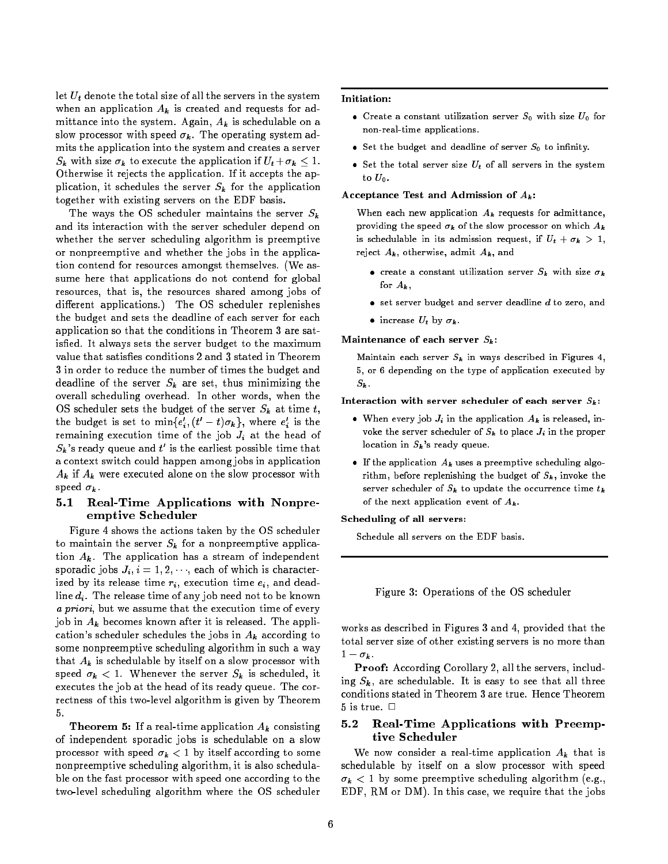let  $U_t$  denote the total size of all the servers in the system when an application  $A_k$  is created and requests for admittance into the system. Again,  $A_k$  is schedulable on a slow processor with speed  $\sigma_k$ . The operating system admits the application into the system and creates a server  $S_k$  with size  $\sigma_k$  to execute the application if  $U_t + \sigma_k \leq 1$ . Otherwise it rejects the application. If it accepts the application, it schedules the server  $S_k$  for the application together with existing servers on the EDF basis.

The ways the OS scheduler maintains the server  $S_k$ and its interaction with the server scheduler depend on whether the server scheduling algorithm is preemptive or nonpreemptive and whether the jobs in the application contend for resources amongst themselves. (We assume here that applications do not contend for global resources, that is, the resources shared among jobs of different applications.) The OS scheduler replenishes the budget and sets the deadline of each server for each application so that the conditions in Theorem 3 are satisfied. It always sets the server budget to the maximum value that satisfies conditions 2 and 3 stated in Theorem 3 in order to reduce the number of times the budget and deadline of the server  $S_k$  are set, thus minimizing the overall scheduling overhead. In other words, when the OS scheduler sets the budget of the server  $S_k$  at time t, the budget is set to min{ $e'_i$ ,  $(t'-t)\sigma_k$ }, where  $e'_i$  is the remaining execution time of the job  $J_i$  at the head of  $S_{\pmb{k}}$  's ready queue and  $t'$  is the earliest possible time that a context switch could happen among jobs in application  $A_k$  if  $A_k$  were executed alone on the slow processor with speed  $\sigma_k$ .

# 5.1 Real-Time Applications with Nonpreemptive Scheduler

Figure 4 shows the actions taken by the OS scheduler to maintain the server  $S_k$  for a nonpreemptive application  $A_k$ . The application has a stream of independent sporadic jobs  $J_i$ ,  $i = 1, 2, \dots$ , each of which is characterized by its release time  $r_i$ , execution time  $e_i$ , and deadline  $d_i$ . The release time of any job need not to be known a priori, but we assume that the execution time of every job in  $A_k$  becomes known after it is released. The application's scheduler schedules the jobs in  $A_k$  according to some nonpreemptive scheduling algorithm in such a way that  $A_k$  is schedulable by itself on a slow processor with speed  $\sigma_k < 1$ . Whenever the server  $S_k$  is scheduled, it executes the job at the head of its ready queue. The correctness of this two-level algorithm is given by Theorem 5.

**Theorem 5:** If a real-time application  $A_k$  consisting of independent sporadic jobs is schedulable on a slow processor with speed  $\sigma_k < 1$  by itself according to some nonpreemptive scheduling algorithm, it is also schedulable on the fast processor with speed one according to the two-level scheduling algorithm where the OS scheduler

## Initiation:

- Create a constant utilization server  $S_0$  with size  $U_0$  for non-real-time applications.
- Set the budget and deadline of server  $S_0$  to infinity.
- Set the total server size  $U_t$  of all servers in the system to  $U_0$ .

### Acceptance Test and Admission of  $A_k$ :

When each new application  $A_k$  requests for admittance, providing the speed  $\sigma_k$  of the slow processor on which  $A_k$ is schedulable in its admission request, if  $U_t + \sigma_k > 1$ , reject  $A_k$ , otherwise, admit  $A_k$ , and

- create a constant utilization server  $S_k$  with size  $\sigma_k$ for  $A_k$ ,
- $\bullet$  set server budget and server deadline  $d$  to zero, and
- $\bullet$  increase  $U_t$  by  $\sigma_k$ .

### Maintenance of each server  $S_k$ :

Maintain each server  $S_k$  in ways described in Figures 4, 5, or 6 depending on the type of application executed by  $S_k$ .

Interaction with server scheduler of each server  $S_k$ :

- When every job  $J_i$  in the application  $A_k$  is released, invoke the server scheduler of  $S_k$  to place  $J_i$  in the proper location in  $S_k$ 's ready queue.
- If the application  $A_k$  uses a preemptive scheduling algorithm, before replenishing the budget of  $S_k$ , invoke the server scheduler of  $S_k$  to update the occurrence time  $t_k$ of the next application event of  $A_k$ .

### Scheduling of all servers:

Schedule all servers on the EDF basis.

Figure 3: Operations of the OS scheduler

works as described in Figures 3 and 4, provided that the total server size of other existing servers is no more than  $1 - \sigma_k$ .

Proof: According Corollary 2, all the servers, including  $S_k$ , are schedulable. It is easy to see that all three conditions stated in Theorem 3 are true. Hence Theorem 5 is true.  $\Box$ 

#### $5.2$ Real-Time Applications with Preemptive Scheduler

We now consider a real-time application  $A_k$  that is schedulable by itself on a slow processor with speed  $\sigma_k$  < 1 by some preemptive scheduling algorithm (e.g., EDF, RM or DM). In this case, we require that the jobs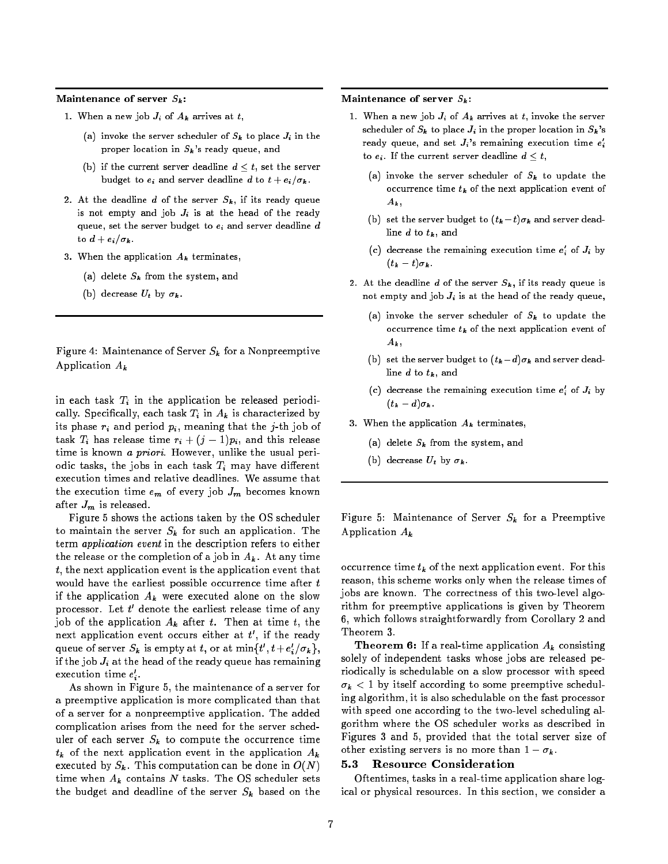Maintenance of server  $S_k$ :

- 1. When a new job  $J_i$  of  $A_k$  arrives at  $t$ ,
	- (a) invoke the server scheduler of  $S_k$  to place  $J_i$  in the proper location in  $S_k$ 's ready queue, and
	- (b) if the current server deadline  $d < t$ , set the server budget to  $e_i$  and server deadline d to  $t + e_i/\sigma_k$ .
- 2. At the deadline d of the server  $S_k$ , if its ready queue is not empty and job  $J_i$  is at the head of the ready queue, set the server budget to  $e_i$  and server deadline  $d$ to  $d + e_i/\sigma_k$ .
- 3. When the application  $A_k$  terminates,
	- (a) delete  $S_k$  from the system, and
	- (b) decrease  $U_t$  by  $\sigma_k$ .

Figure 4: Maintenance of Server  $S_k$  for a Nonpreemptive Application  $A_k$ 

in each task  $T_i$  in the application be released periodically. Specifically, each task  $T_i$  in  $A_k$  is characterized by its phase  $r_i$  and period  $p_i$ , meaning that the j-th job of task  $T_i$  has release time  $r_i + (j-1)p_i$ , and this release time is known a priori. However, unlike the usual periodic tasks, the jobs in each task  $T_i$  may have different execution times and relative deadlines. We assume that the execution time  $e_m$  of every job  $J_m$  becomes known after  $J_m$  is released.

Figure 5 shows the actions taken by the OS scheduler to maintain the server  $S_k$  for such an application. The term application event in the description refers to either the release or the completion of a job in  $A_k$ . At any time  $t$ , the next application event is the application event that would have the earliest possible occurrence time after  $t$ if the application  $A_k$  were executed alone on the slow processor. Let  $t'$  denote the earliest release time of any job of the application  $A_k$  after t. Then at time t, the next application event occurs either at  $t'$ , if the ready queue of server  $S_{\bm{k}}$  is empty at  $t,$  or at  $\min\{t', t + e_i'/\sigma_{\bm{k}}\},$ if the job  $J_i$  at the head of the ready queue has remaining execution time  $e_\epsilon$  .

As shown in Figure 5, the maintenance of a server for a preemptive application is more complicated than that of a server for a nonpreemptive application. The added complication arises from the need for the server scheduler of each server  $S_k$  to compute the occurrence time  $t_k$  of the next application event in the application  $A_k$ executed by  $S_k$ . This computation can be done in  $O(N)$ time when  $A_k$  contains N tasks. The OS scheduler sets the budget and deadline of the server  $S_k$  based on the

Maintenance of server  $S_k$ :

- 1. When a new job  $J_i$  of  $A_k$  arrives at t, invoke the server scheduler of  $S_k$  to place  $J_i$  in the proper location in  $S_k$ 's ready queue, and set  $J_i$ 's remaining execution time  $e_i$ to  $e_i$ . If the current server deadline  $d \leq t$ ,
	- (a) invoke the server scheduler of  $S_k$  to update the occurrence time  $t_k$  of the next application event of  $A_k$
	- (b) set the server budget to  $(t_k-t)\sigma_k$  and server deadline  $d$  to  $t_k$ , and
	- (c) decrease the remaining execution time  $e_i$  of  $J_i$  by  $(t_{k} - t)\sigma_{k}$  .
- 2. At the deadline d of the server  $S_k$ , if its ready queue is not empty and job  $J_i$  is at the head of the ready queue,
	- (a) invoke the server scheduler of  $S_k$  to update the occurrence time  $t_k$  of the next application event of  $A_k$ ,
	- (b) set the server budget to  $(t_k d)\sigma_k$  and server deadline  $d$  to  $t_k$ , and
	- (c) decrease the remaining execution time  $e_i$  of  $J_i$  by  $(t_k - d)\sigma_k$ .
- 3. When the application  $A_k$  terminates,
	- (a) delete  $S_k$  from the system, and
	- (b) decrease  $U_t$  by  $\sigma_k$ .

Figure 5: Maintenance of Server  $S_k$  for a Preemptive Application  $A_k$ 

occurrence time  $t_k$  of the next application event. For this reason, this scheme works only when the release times of jobs are known. The correctness of this two-level algorithm for preemptive applications is given by Theorem 6, which follows straightforwardly from Corollary 2 and Theorem 3.

**Theorem 6:** If a real-time application  $A_k$  consisting solely of independent tasks whose jobs are released periodically is schedulable on a slow processor with speed  $\sigma_k$  < 1 by itself according to some preemptive scheduling algorithm, it is also schedulable on the fast processor with speed one according to the two-level scheduling algorithm where the OS scheduler works as described in Figures 3 and 5, provided that the total server size of other existing servers is no more than  $1 - \sigma_k$ .

#### $5.3$ Resource Consideration

Oftentimes, tasks in a real-time application share logical or physical resources. In this section, we consider a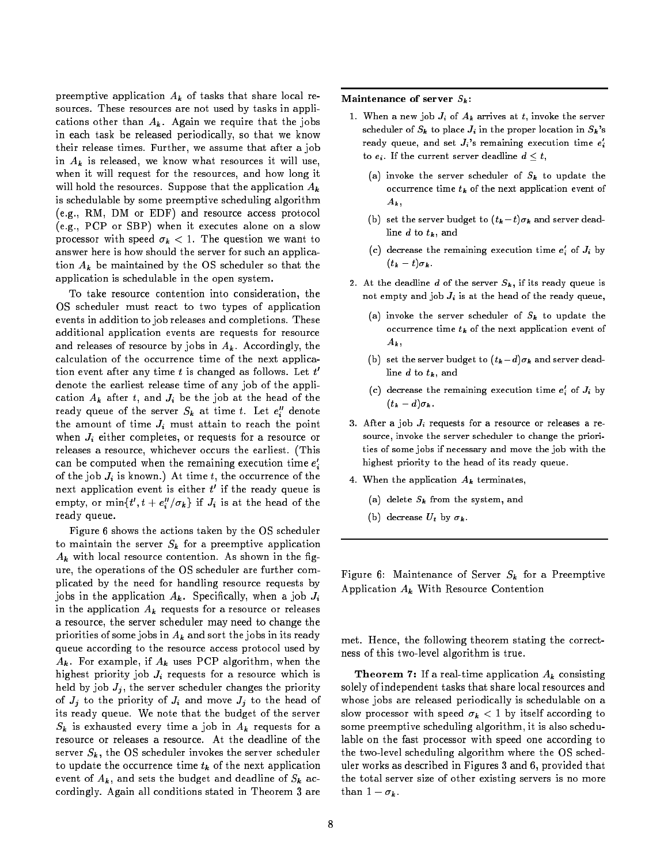preemptive application  $A_k$  of tasks that share local resources. These resources are not used by tasks in applications other than  $A_k$ . Again we require that the jobs in each task be released periodically, so that we know their release times. Further, we assume that after a job in  $A_k$  is released, we know what resources it will use, when it will request for the resources, and how long it will hold the resources. Suppose that the application  $A_k$ is schedulable by some preemptive scheduling algorithm (e.g., RM, DM or EDF) and resource access protocol (e.g., PCP or SBP) when it executes alone on a slow processor with speed  $\sigma_k < 1$ . The question we want to answer here is how should the server for such an application  $A_k$  be maintained by the OS scheduler so that the application is schedulable in the open system.

To take resource contention into consideration, the OS scheduler must react to two types of application events in addition to job releases and completions. These additional application events are requests for resource and releases of resource by jobs in  $A_k$ . Accordingly, the calculation of the occurrence time of the next application event after any time  $t$  is changed as follows. Let  $t^{\prime}$ denote the earliest release time of any job of the application  $A_k$  after t, and  $J_i$  be the job at the head of the ready queue of the server  $S_{\bm{k}}$  at time  $t$ . Let  $e''_i$  denote the amount of time  $J_i$  must attain to reach the point when  $J_i$  either completes, or requests for a resource or releases a resource, whichever occurs the earliest. (This can be computed when the remaining execution time  $e_{\cdot}$ of the job  $J_i$  is known.) At time t, the occurrence of the next application event is either  $t^\prime$  if the ready queue is empty, or  $\min\{t', t + e_i''/\sigma_k\}$  if  $J_i$  is at the head of the ready queue.

Figure 6 shows the actions taken by the OS scheduler to maintain the server  $S_k$  for a preemptive application  $A_k$  with local resource contention. As shown in the figure, the operations of the OS scheduler are further complicated by the need for handling resource requests by jobs in the application  $A_k$ . Specifically, when a job  $J_i$ in the application  $A_k$  requests for a resource or releases a resource, the server scheduler may need to change the priorities of some jobs in  $A_k$  and sort the jobs in its ready queue according to the resource access protocol used by  $A_k$ . For example, if  $A_k$  uses PCP algorithm, when the highest priority job  $J_i$  requests for a resource which is held by job  $J_i$ , the server scheduler changes the priority of  $J_j$  to the priority of  $J_i$  and move  $J_j$  to the head of its ready queue. We note that the budget of the server  $S_k$  is exhausted every time a job in  $A_k$  requests for a resource or releases a resource. At the deadline of the server  $S_k$ , the OS scheduler invokes the server scheduler to update the occurrence time  $t_k$  of the next application event of  $A_k$ , and sets the budget and deadline of  $S_k$  accordingly. Again all conditions stated in Theorem 3 are Maintenance of server  $S_k$ :

- 1. When a new job  $J_i$  of  $A_k$  arrives at t, invoke the server scheduler of  $S_k$  to place  $J_i$  in the proper location in  $S_k$ 's ready queue, and set  $J_i$ 's remaining execution time  $e_i$ to  $e_i$ . If the current server deadline  $d \leq t$ ,
	- (a) invoke the server scheduler of  $S_k$  to update the occurrence time  $t_k$  of the next application event of  $A_k$ ,
	- (b) set the server budget to  $(t_k-t)\sigma_k$  and server deadline  $d$  to  $t_k$ , and
	- (c) decrease the remaining execution time  $e_i$  of  $J_i$  by  $(t_{k} - t)\sigma_{k}$  .
- 2. At the deadline d of the server  $S_k$ , if its ready queue is not empty and job  $J_i$  is at the head of the ready queue,
	- (a) invoke the server scheduler of  $S_k$  to update the occurrence time  $t_k$  of the next application event of  $A_k$ ,
	- (b) set the server budget to  $(t_k d)\sigma_k$  and server deadline  $d$  to  $t_k$ , and
	- (c) decrease the remaining execution time  $e_i$  of  $J_i$  by  $(t_k - d)\sigma_k$ .
- 3. After a job  $J_i$  requests for a resource or releases a resource, invoke the server scheduler to change the priorities of some jobs if necessary and move the job with the highest priority to the head of its ready queue.
- 4. When the application  $A_k$  terminates,
	- (a) delete  $S_k$  from the system, and
	- (b) decrease  $U_t$  by  $\sigma_k$ .

Figure 6: Maintenance of Server  $S_k$  for a Preemptive Application  $A_k$  With Resource Contention

met. Hence, the following theorem stating the correctness of this two-level algorithm is true.

**Theorem 7:** If a real-time application  $A_k$  consisting solely of independent tasks that share local resources and whose jobs are released periodically is schedulable on a slow processor with speed  $\sigma_k < 1$  by itself according to some preemptive scheduling algorithm, it is also schedulable on the fast processor with speed one according to the two-level scheduling algorithm where the OS scheduler works as described in Figures 3 and 6, provided that the total server size of other existing servers is no more than  $1 - \sigma_k$ .